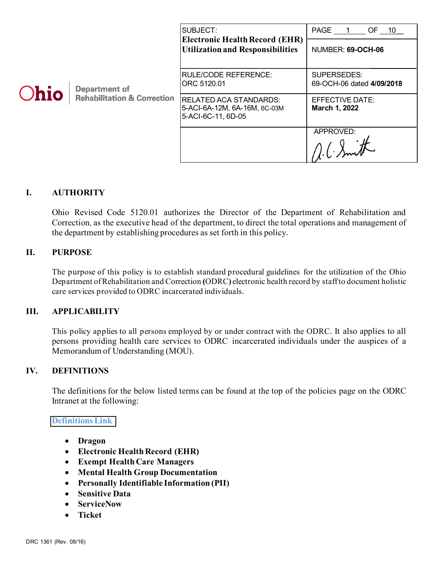| <b>Ohio</b> | <b>Department of</b><br><b>Rehabilitation &amp; Correction</b> | SUBJECT:<br><b>Electronic Health Record (EHR)</b><br><b>Utilization and Responsibilities</b> | PAGE 1<br>OF 10<br>NUMBER: 69-OCH-06     |
|-------------|----------------------------------------------------------------|----------------------------------------------------------------------------------------------|------------------------------------------|
|             |                                                                | RULE/CODE REFERENCE:<br>ORC 5120.01                                                          | SUPERSEDES:<br>69-OCH-06 dated 4/09/2018 |
|             |                                                                | RELATED ACA STANDARDS:<br>5-ACI-6A-12M, 6A-16M, 6C-03M<br>5-ACI-6C-11, 6D-05                 | EFFECTIVE DATE:<br>March 1, 2022         |
|             |                                                                |                                                                                              | APPROVED:                                |

## **I. AUTHORITY**

Ohio Revised Code 5120.01 authorizes the Director of the Department of Rehabilitation and Correction, as the executive head of the department, to direct the total operations and management of the department by establishing procedures as set forth in this policy.

#### **II. PURPOSE**

The purpose of this policy is to establish standard procedural guidelines for the utilization of the Ohio Department of Rehabilitation and Correction **(**ODRC**)** electronic health record by staffto document holistic care services provided to ODRC incarcerated individuals.

## **III. APPLICABILITY**

This policy applies to all persons employed by or under contract with the ODRC. It also applies to all persons providing health care services to ODRC incarcerated individuals under the auspices of a Memorandum of Understanding (MOU).

## **IV. DEFINITIONS**

The definitions for the below listed terms can be found at the top of the policies page on the ODRC Intranet at the following:

#### **[Definitions Link](http://intra/policies/pagecontent/files/Policy%20Definition%20Spreadsheet%20-%20Intranet%202021.pdf)**

- **Dragon**
- **Electronic Health Record (EHR)**
- **Exempt Health Care Managers**
- **Mental Health Group Documentation**
- **Personally Identifiable Information (PII)**
- **Sensitive Data**
- **ServiceNow**
- **Ticket**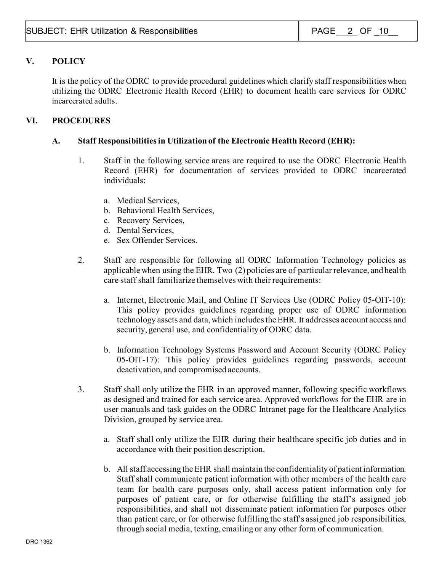# **V. POLICY**

It is the policy of the ODRC to provide procedural guidelines which clarify staff responsibilities when utilizing the ODRC Electronic Health Record (EHR) to document health care services for ODRC incarcerated adults.

## **VI. PROCEDURES**

## **A. Staff Responsibilities in Utilization of the Electronic Health Record (EHR):**

- 1. Staff in the following service areas are required to use the ODRC Electronic Health Record (EHR) for documentation of services provided to ODRC incarcerated individuals:
	- a. Medical Services,
	- b. Behavioral Health Services,
	- c. Recovery Services,
	- d. Dental Services,
	- e. Sex Offender Services.
- 2. Staff are responsible for following all ODRC Information Technology policies as applicable when using the EHR. Two (2) policies are of particular relevance, and health care staff shall familiarize themselves with their requirements:
	- a. Internet, Electronic Mail, and Online IT Services Use (ODRC Policy 05-OIT-10): This policy provides guidelines regarding proper use of ODRC information technology assets and data, which includes the EHR. It addresses account access and security, general use, and confidentiality of ODRC data.
	- b. Information Technology Systems Password and Account Security (ODRC Policy 05-OIT-17): This policy provides guidelines regarding passwords, account deactivation, and compromised accounts.
- 3. Staff shall only utilize the EHR in an approved manner, following specific workflows as designed and trained for each service area. Approved workflows for the EHR are in user manuals and task guides on the ODRC Intranet page for the Healthcare Analytics Division, grouped by service area.
	- a. Staff shall only utilize the EHR during their healthcare specific job duties and in accordance with their position description.
	- b. All staff accessing the EHR shall maintain the confidentiality of patient information. Staff shall communicate patient information with other members of the health care team for health care purposes only, shall access patient information only for purposes of patient care, or for otherwise fulfilling the staff's assigned job responsibilities, and shall not disseminate patient information for purposes other than patient care, or for otherwise fulfilling the staff's assigned job responsibilities, through social media, texting, emailing or any other form of communication.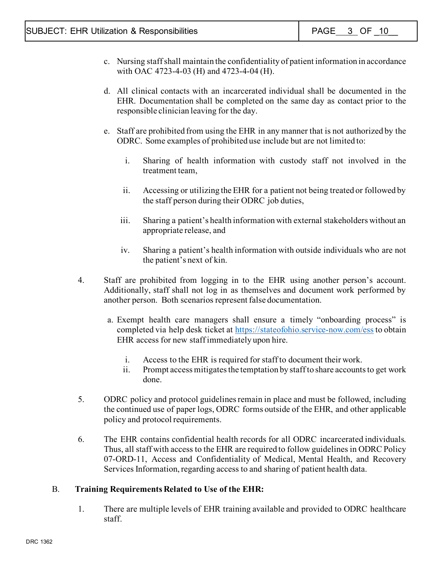- c. Nursing staff shall maintain the confidentiality of patient information in accordance with OAC 4723-4-03 (H) and 4723-4-04 (H).
- d. All clinical contacts with an incarcerated individual shall be documented in the EHR. Documentation shall be completed on the same day as contact prior to the responsible clinician leaving for the day.
- e. Staff are prohibited from using the EHR in any manner that is not authorized by the ODRC. Some examples of prohibited use include but are not limited to:
	- i. Sharing of health information with custody staff not involved in the treatment team,
	- ii. Accessing or utilizing the EHR for a patient not being treated or followed by the staff person during their ODRC job duties,
	- iii. Sharing a patient's health information with external stakeholders without an appropriate release, and
	- iv. Sharing a patient's health information with outside individuals who are not the patient's next of kin.
- 4. Staff are prohibited from logging in to the EHR using another person's account. Additionally, staff shall not log in as themselves and document work performed by another person. Both scenarios represent false documentation.
	- a. Exempt health care managers shall ensure a timely "onboarding process" is completed via help desk ticket at<https://stateofohio.service-now.com/ess> to obtain EHR access for new staff immediately upon hire.
		- i. Access to the EHR is required for staff to document their work.
		- ii. Prompt access mitigates the temptation by staff to share accounts to get work done.
- 5. ODRC policy and protocol guidelines remain in place and must be followed, including the continued use of paper logs, ODRC forms outside of the EHR, and other applicable policy and protocol requirements.
- 6. The EHR contains confidential health records for all ODRC incarcerated individuals. Thus, all staff with access to the EHR are required to follow guidelines in ODRC Policy 07-ORD-11, Access and Confidentiality of Medical, Mental Health, and Recovery Services Information, regarding access to and sharing of patient health data.

#### B. **Training Requirements Related to Use of the EHR:**

1. There are multiple levels of EHR training available and provided to ODRC healthcare staff.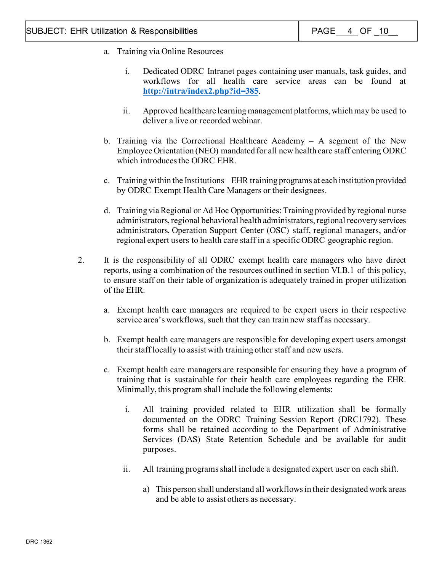- a. Training via Online Resources
	- i. Dedicated ODRC Intranet pages containing user manuals, task guides, and workflows for all health care service areas can be found at **<http://intra/index2.php?id=385>**.
	- ii. Approved healthcare learning management platforms, which may be used to deliver a live or recorded webinar.
- b. Training via the Correctional Healthcare Academy A segment of the New Employee Orientation (NEO) mandated for all new health care staff entering ODRC which introduces the ODRC EHR.
- c. Training within the Institutions –EHR training programs at each institution provided by ODRC Exempt Health Care Managers or their designees.
- d. Training via Regional or Ad Hoc Opportunities: Training provided by regional nurse administrators, regional behavioral health administrators, regional recovery services administrators, Operation Support Center (OSC) staff, regional managers, and/or regional expert users to health care staff in a specific ODRC geographic region.
- 2. It is the responsibility of all ODRC exempt health care managers who have direct reports, using a combination of the resources outlined in section VI.B.1 of this policy, to ensure staff on their table of organization is adequately trained in proper utilization of the EHR.
	- a. Exempt health care managers are required to be expert users in their respective service area's workflows, such that they can train new staff as necessary.
	- b. Exempt health care managers are responsible for developing expert users amongst their staff locally to assist with training other staff and new users.
	- c. Exempt health care managers are responsible for ensuring they have a program of training that is sustainable for their health care employees regarding the EHR. Minimally, this program shall include the following elements:
		- i. All training provided related to EHR utilization shall be formally documented on the ODRC Training Session Report (DRC1792). These forms shall be retained according to the Department of Administrative Services (DAS) State Retention Schedule and be available for audit purposes.
		- ii. All training programs shall include a designated expert user on each shift.
			- a) This person shall understand all workflows in their designated work areas and be able to assist others as necessary.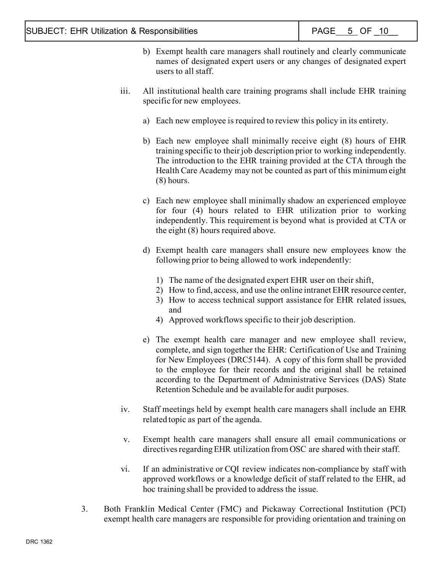- b) Exempt health care managers shall routinely and clearly communicate names of designated expert users or any changes of designated expert users to all staff.
- iii. All institutional health care training programs shall include EHR training specific for new employees.
	- a) Each new employee is required to review this policy in its entirety.
	- b) Each new employee shall minimally receive eight (8) hours of EHR training specific to their job description prior to working independently. The introduction to the EHR training provided at the CTA through the Health Care Academy may not be counted as part of this minimum eight (8) hours.
	- c) Each new employee shall minimally shadow an experienced employee for four (4) hours related to EHR utilization prior to working independently. This requirement is beyond what is provided at CTA or the eight (8) hours required above.
	- d) Exempt health care managers shall ensure new employees know the following prior to being allowed to work independently:
		- 1) The name of the designated expert EHR user on their shift,
		- 2) How to find, access, and use the online intranet EHR resource center,
		- 3) How to access technical support assistance for EHR related issues, and
		- 4) Approved workflows specific to their job description.
	- e) The exempt health care manager and new employee shall review, complete, and sign together the EHR: Certification of Use and Training for New Employees (DRC5144). A copy of this form shall be provided to the employee for their records and the original shall be retained according to the Department of Administrative Services (DAS) State Retention Schedule and be available for audit purposes.
- iv. Staff meetings held by exempt health care managers shall include an EHR related topic as part of the agenda.
- v. Exempt health care managers shall ensure all email communications or directives regarding EHR utilization from OSC are shared with their staff.
- vi. If an administrative or CQI review indicates non-compliance by staff with approved workflows or a knowledge deficit of staff related to the EHR, ad hoc training shall be provided to address the issue.
- 3. Both Franklin Medical Center (FMC) and Pickaway Correctional Institution (PCI) exempt health care managers are responsible for providing orientation and training on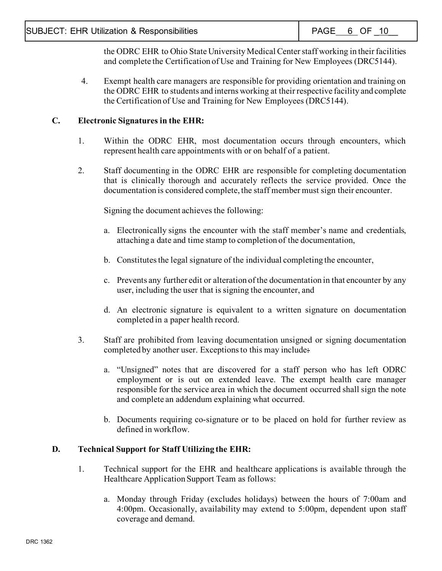the ODRC EHR to Ohio State University Medical Center staff working in their facilities and complete the Certification of Use and Training for New Employees (DRC5144).

4. Exempt health care managers are responsible for providing orientation and training on the ODRC EHR to students and interns working at their respective facility and complete the Certification of Use and Training for New Employees (DRC5144).

## **C. Electronic Signatures in the EHR:**

- 1. Within the ODRC EHR, most documentation occurs through encounters, which represent health care appointments with or on behalf of a patient.
- 2. Staff documenting in the ODRC EHR are responsible for completing documentation that is clinically thorough and accurately reflects the service provided. Once the documentation is considered complete, the staff member must sign their encounter.

Signing the document achieves the following:

- a. Electronically signs the encounter with the staff member's name and credentials, attaching a date and time stamp to completion of the documentation,
- b. Constitutes the legal signature of the individual completing the encounter,
- c. Prevents any further edit or alteration of the documentation in that encounter by any user, including the user that is signing the encounter, and
- d. An electronic signature is equivalent to a written signature on documentation completed in a paper health record.
- 3. Staff are prohibited from leaving documentation unsigned or signing documentation completed by another user. Exceptions to this may include:
	- a. "Unsigned" notes that are discovered for a staff person who has left ODRC employment or is out on extended leave. The exempt health care manager responsible for the service area in which the document occurred shall sign the note and complete an addendum explaining what occurred.
	- b. Documents requiring co-signature or to be placed on hold for further review as defined in workflow.

## **D. Technical Support for Staff Utilizing the EHR:**

- 1. Technical support for the EHR and healthcare applications is available through the Healthcare Application Support Team as follows:
	- a. Monday through Friday (excludes holidays) between the hours of 7:00am and 4:00pm. Occasionally, availability may extend to 5:00pm, dependent upon staff coverage and demand.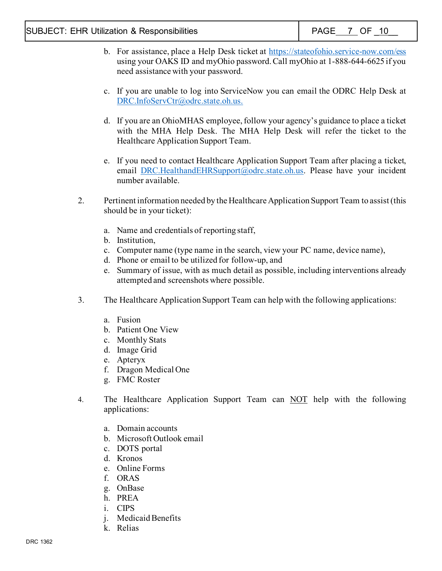- b. For assistance, place a Help Desk ticket at<https://stateofohio.service-now.com/ess> using your OAKS ID and myOhio password. Call myOhio at 1-888-644-6625 if you need assistance with your password.
- c. If you are unable to log into ServiceNow you can email the ODRC Help Desk at [DRC.InfoServCtr@odrc.state.oh.us.](mailto:DRC.InfoServCtr@odrc.state.oh.us)
- d. If you are an OhioMHAS employee, follow your agency's guidance to place a ticket with the MHA Help Desk. The MHA Help Desk will refer the ticket to the Healthcare Application Support Team.
- e. If you need to contact Healthcare Application Support Team after placing a ticket, email [DRC.HealthandEHRSupport@odrc.state.oh.us.](mailto:DRC.HealthandEHRSupport@odrc.state.oh.us) Please have your incident number available.
- 2. Pertinent information needed by the Healthcare Application Support Team to assist (this should be in your ticket):
	- a. Name and credentials of reporting staff,
	- b. Institution,
	- c. Computer name (type name in the search, view your PC name, device name),
	- d. Phone or email to be utilized for follow-up, and
	- e. Summary of issue, with as much detail as possible, including interventions already attempted and screenshots where possible.
- 3. The Healthcare Application Support Team can help with the following applications:
	- a. Fusion
	- b. Patient One View
	- c. Monthly Stats
	- d. Image Grid
	- e. Apteryx
	- f. Dragon Medical One
	- g. FMC Roster
- 4. The Healthcare Application Support Team can NOT help with the following applications:
	- a. Domain accounts
	- b. Microsoft Outlook email
	- c. DOTS portal
	- d. Kronos
	- e. Online Forms
	- f. ORAS
	- g. OnBase
	- h. PREA
	- i. CIPS
	- j. Medicaid Benefits
	- k. Relias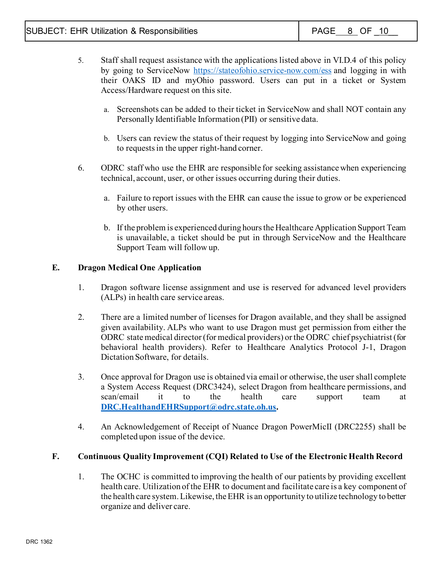- 5. Staff shall request assistance with the applications listed above in VI.D.4 of this policy by going to ServiceNow<https://stateofohio.service-now.com/ess> and logging in with their OAKS ID and myOhio password. Users can put in a ticket or System Access/Hardware request on this site.
	- a. Screenshots can be added to their ticket in ServiceNow and shall NOT contain any Personally Identifiable Information (PII) or sensitive data.
	- b. Users can review the status of their request by logging into ServiceNow and going to requests in the upper right-hand corner.
- 6. ODRC staff who use the EHR are responsible for seeking assistance when experiencing technical, account, user, or other issues occurring during their duties.
	- a. Failure to report issues with the EHR can cause the issue to grow or be experienced by other users.
	- b. If the problem is experienced during hours the Healthcare Application Support Team is unavailable, a ticket should be put in through ServiceNow and the Healthcare Support Team will follow up.

## **E. Dragon Medical One Application**

- 1. Dragon software license assignment and use is reserved for advanced level providers (ALPs) in health care service areas.
- 2. There are a limited number of licenses for Dragon available, and they shall be assigned given availability. ALPs who want to use Dragon must get permission from either the ODRC state medical director (for medical providers) or the ODRC chief psychiatrist (for behavioral health providers). Refer to Healthcare Analytics Protocol J-1, Dragon Dictation Software, for details.
- 3. Once approval for Dragon use is obtained via email or otherwise, the user shall complete a System Access Request (DRC3424), select Dragon from healthcare permissions, and scan/email it to the health care support team at **[DRC.HealthandEHRSupport@odrc.state.oh.us.](mailto:DRC.HealthandEHRSupport@odrc.state.oh.us)**
- 4. An Acknowledgement of Receipt of Nuance Dragon PowerMicII (DRC2255) shall be completed upon issue of the device.

## **F. Continuous Quality Improvement (CQI) Related to Use of the Electronic Health Record**

1. The OCHC is committed to improving the health of our patients by providing excellent health care. Utilization of the EHR to document and facilitate care is a key component of the health care system. Likewise, the EHR is an opportunity to utilize technology to better organize and deliver care.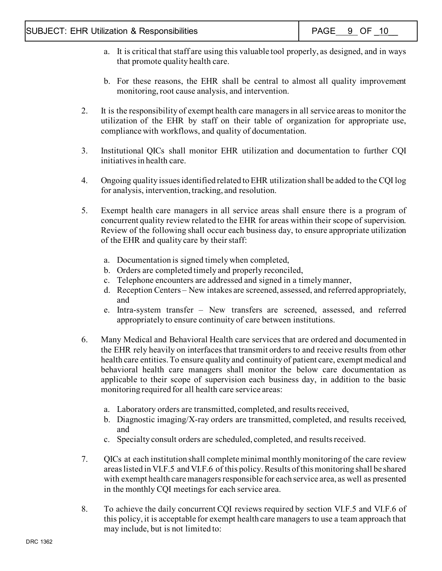- a. It is critical that staff are using this valuable tool properly, as designed, and in ways that promote quality health care.
- b. For these reasons, the EHR shall be central to almost all quality improvement monitoring, root cause analysis, and intervention.
- 2. It is the responsibility of exempt health care managers in all service areas to monitor the utilization of the EHR by staff on their table of organization for appropriate use, compliance with workflows, and quality of documentation.
- 3. Institutional QICs shall monitor EHR utilization and documentation to further CQI initiatives in health care.
- 4. Ongoing quality issues identified related to EHR utilization shall be added to the CQI log for analysis, intervention, tracking, and resolution.
- 5. Exempt health care managers in all service areas shall ensure there is a program of concurrent quality review related to the EHR for areas within their scope of supervision. Review of the following shall occur each business day, to ensure appropriate utilization of the EHR and quality care by their staff:
	- a. Documentation is signed timely when completed,
	- b. Orders are completed timely and properly reconciled,
	- c. Telephone encounters are addressed and signed in a timely manner,
	- d. Reception Centers New intakes are screened, assessed, and referred appropriately, and
	- e. Intra-system transfer New transfers are screened, assessed, and referred appropriately to ensure continuity of care between institutions.
- 6. Many Medical and Behavioral Health care services that are ordered and documented in the EHR rely heavily on interfaces that transmit orders to and receive results from other health care entities. To ensure quality and continuity of patient care, exempt medical and behavioral health care managers shall monitor the below care documentation as applicable to their scope of supervision each business day, in addition to the basic monitoring required for all health care service areas:
	- a. Laboratory orders are transmitted, completed, and results received,
	- b. Diagnostic imaging/X-ray orders are transmitted, completed, and results received, and
	- c. Specialty consult orders are scheduled, completed, and results received.
- 7. QICs at each institution shall complete minimal monthly monitoring of the care review areas listed in VI.F.5 and VI.F.6 of this policy.Results of this monitoring shall be shared with exempt health care managers responsible for each service area, as well as presented in the monthly CQI meetings for each service area.
- 8. To achieve the daily concurrent CQI reviews required by section VI.F.5 and VI.F.6 of this policy, it is acceptable for exempt health care managers to use a team approach that may include, but is not limited to: